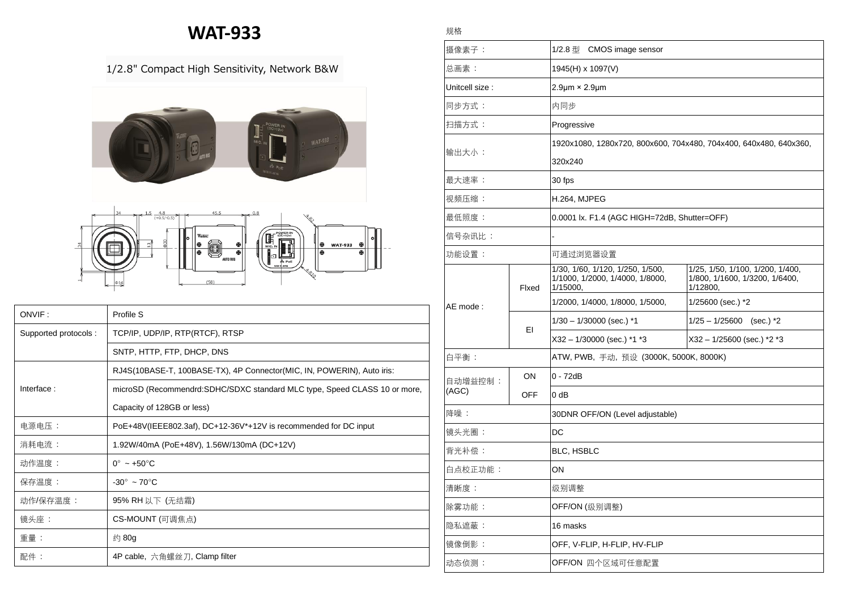## **WAT-933**

## 1/2.8" Compact High Sensitivity, Network B&W



| ONVIF:               | Profile S                                                                  |  |  |
|----------------------|----------------------------------------------------------------------------|--|--|
| Supported protocols: | TCP/IP, UDP/IP, RTP(RTCF), RTSP                                            |  |  |
|                      | SNTP, HTTP, FTP, DHCP, DNS                                                 |  |  |
|                      | RJ4S(10BASE-T, 100BASE-TX), 4P Connector(MIC, IN, POWERIN), Auto iris:     |  |  |
| Interface:           | microSD (Recommendrd: SDHC/SDXC standard MLC type, Speed CLASS 10 or more, |  |  |
|                      | Capacity of 128GB or less)                                                 |  |  |
| 电源电压:                | PoE+48V(IEEE802.3af), DC+12-36V*+12V is recommended for DC input           |  |  |
| 消耗电流:                | 1.92W/40mA (PoE+48V), 1.56W/130mA (DC+12V)                                 |  |  |
| 动作温度:                | $0^{\circ}$ ~ +50 $^{\circ}$ C                                             |  |  |
| 保存温度:                | $-30^\circ \sim 70^\circ \text{C}$                                         |  |  |
| 动作/保存温度 :            | 95% RH 以下 (无结霜)                                                            |  |  |
| 镜头座:                 | CS-MOUNT (可调焦点)                                                            |  |  |
| 重量:                  | 约 80g                                                                      |  |  |
| 配件:                  | 4P cable, 六角螺丝刀, Clamp filter                                              |  |  |

|--|

| 摄像素子:            |               | 1/2.8 型 CMOS image sensor                                                       |                                                                                |  |
|------------------|---------------|---------------------------------------------------------------------------------|--------------------------------------------------------------------------------|--|
| 总画素:             |               | 1945(H) x 1097(V)                                                               |                                                                                |  |
| Unitcell size:   |               | $2.9 \mu m \times 2.9 \mu m$                                                    |                                                                                |  |
| 同步方式:            |               | 内同步                                                                             |                                                                                |  |
| 扫描方式:            |               | Progressive                                                                     |                                                                                |  |
| 输出大小:            |               | 1920x1080, 1280x720, 800x600, 704x480, 704x400, 640x480, 640x360,               |                                                                                |  |
|                  |               | 320x240                                                                         |                                                                                |  |
| 最大速率:            |               | 30 fps                                                                          |                                                                                |  |
| 视频压缩:            |               | H.264, MJPEG                                                                    |                                                                                |  |
| 最低照度:            |               | 0.0001 lx. F1.4 (AGC HIGH=72dB, Shutter=OFF)                                    |                                                                                |  |
| 信号杂讯比:           |               |                                                                                 |                                                                                |  |
| 功能设置:            |               | 可通过浏览器设置                                                                        |                                                                                |  |
|                  | Fixed         | 1/30, 1/60, 1/120, 1/250, 1/500,<br>1/1000, 1/2000, 1/4000, 1/8000,<br>1/15000, | 1/25, 1/50, 1/100, 1/200, 1/400,<br>1/800, 1/1600, 1/3200, 1/6400,<br>1/12800, |  |
| AE mode:         |               | 1/2000, 1/4000, 1/8000, 1/5000,                                                 | 1/25600 (sec.) *2                                                              |  |
|                  | ΕI            | $1/30 - 1/30000$ (sec.) *1                                                      | $1/25 - 1/25600$ (sec.) *2                                                     |  |
|                  |               | X32 - 1/30000 (sec.) *1 *3                                                      | X32 - 1/25600 (sec.) *2 *3                                                     |  |
| 白平衡:             |               | ATW, PWB, 手动, 预设 (3000K, 5000K, 8000K)                                          |                                                                                |  |
| 自动增益控制:<br>(AGC) | $\mathsf{ON}$ | 0 - 72dB                                                                        |                                                                                |  |
|                  | <b>OFF</b>    | $0$ dB                                                                          |                                                                                |  |
| 降噪:              |               | 30DNR OFF/ON (Level adjustable)                                                 |                                                                                |  |
| 镜头光圈:            |               | DC                                                                              |                                                                                |  |
| 背光补偿:            |               | BLC, HSBLC                                                                      |                                                                                |  |
| 白点校正功能:          |               | ON                                                                              |                                                                                |  |
| 清晰度:             |               | 级别调整                                                                            |                                                                                |  |
| 除雾功能:            |               | OFF/ON (级别调整)                                                                   |                                                                                |  |
| 隐私遮蔽:            |               | 16 masks                                                                        |                                                                                |  |
| 镜像倒影:            |               | OFF, V-FLIP, H-FLIP, HV-FLIP                                                    |                                                                                |  |
| 动态侦测:            |               | OFF/ON 四个区域可任意配置                                                                |                                                                                |  |